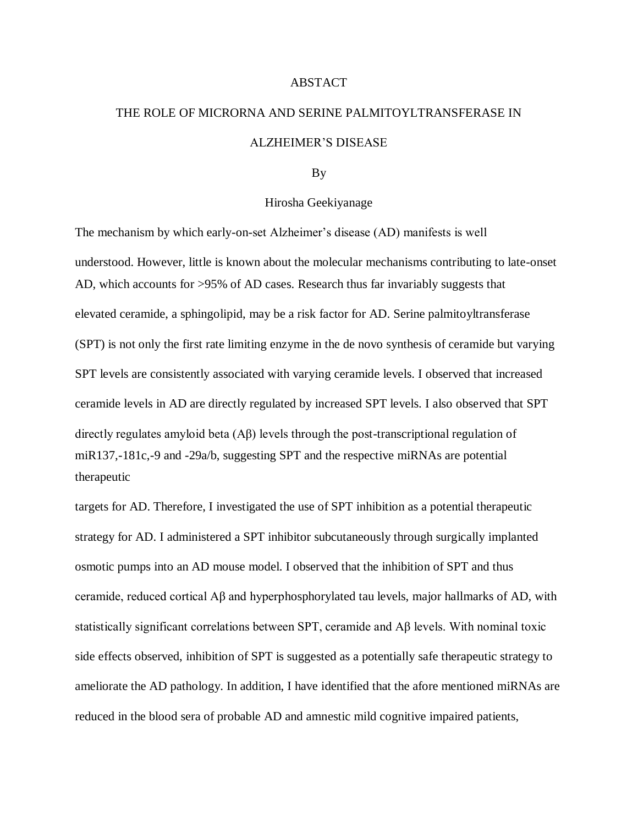## ABSTACT

## THE ROLE OF MICRORNA AND SERINE PALMITOYLTRANSFERASE IN ALZHEIMER'S DISEASE

## By

## Hirosha Geekiyanage

The mechanism by which early-on-set Alzheimer's disease (AD) manifests is well understood. However, little is known about the molecular mechanisms contributing to late-onset AD, which accounts for >95% of AD cases. Research thus far invariably suggests that elevated ceramide, a sphingolipid, may be a risk factor for AD. Serine palmitoyltransferase (SPT) is not only the first rate limiting enzyme in the de novo synthesis of ceramide but varying SPT levels are consistently associated with varying ceramide levels. I observed that increased ceramide levels in AD are directly regulated by increased SPT levels. I also observed that SPT directly regulates amyloid beta (Aβ) levels through the post-transcriptional regulation of miR137,-181c,-9 and -29a/b, suggesting SPT and the respective miRNAs are potential therapeutic

targets for AD. Therefore, I investigated the use of SPT inhibition as a potential therapeutic strategy for AD. I administered a SPT inhibitor subcutaneously through surgically implanted osmotic pumps into an AD mouse model. I observed that the inhibition of SPT and thus ceramide, reduced cortical Aβ and hyperphosphorylated tau levels, major hallmarks of AD, with statistically significant correlations between SPT, ceramide and Aβ levels. With nominal toxic side effects observed, inhibition of SPT is suggested as a potentially safe therapeutic strategy to ameliorate the AD pathology. In addition, I have identified that the afore mentioned miRNAs are reduced in the blood sera of probable AD and amnestic mild cognitive impaired patients,